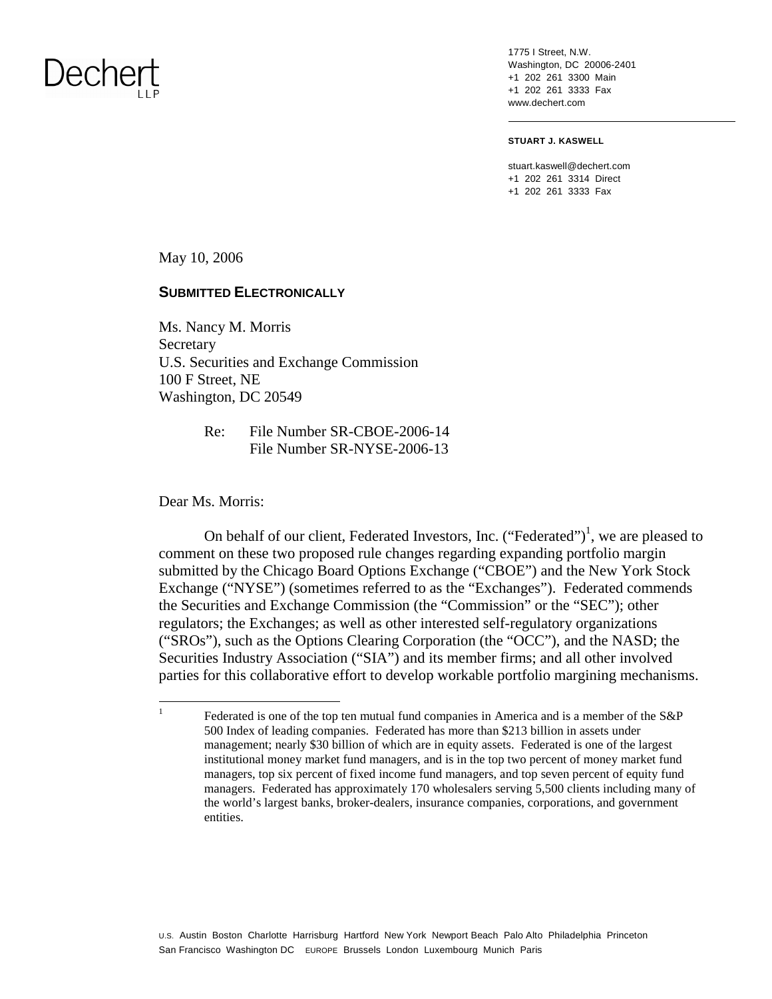1775 I Street, N.W. Washington, DC 20006-2401 +1 202 261 3300 Main +1 202 261 3333 Fax www.dechert.com

**STUART J. KASWELL** 

stuart.kaswell@dechert.com +1 202 261 3314 Direct +1 202 261 3333 Fax

May 10, 2006

#### **SUBMITTED ELECTRONICALLY**

Ms. Nancy M. Morris Secretary U.S. Securities and Exchange Commission 100 F Street, NE Washington, DC 20549

> Re: File Number SR-CBOE-2006-14 File Number SR-NYSE-2006-13

Dear Ms. Morris:

On behalf of our client, Federated Investors, Inc. ("Federated")<sup>1</sup>, we are pleased to comment on these two proposed rule changes regarding expanding portfolio margin submitted by the Chicago Board Options Exchange ("CBOE") and the New York Stock Exchange ("NYSE") (sometimes referred to as the "Exchanges"). Federated commends the Securities and Exchange Commission (the "Commission" or the "SEC"); other regulators; the Exchanges; as well as other interested self-regulatory organizations ("SROs"), such as the Options Clearing Corporation (the "OCC"), and the NASD; the Securities Industry Association ("SIA") and its member firms; and all other involved parties for this collaborative effort to develop workable portfolio margining mechanisms.

<sup>&</sup>lt;sup>1</sup> Federated is one of the top ten mutual fund companies in America and is a member of the S&P 500 Index of leading companies. Federated has more than \$213 billion in assets under management; nearly \$30 billion of which are in equity assets. Federated is one of the largest institutional money market fund managers, and is in the top two percent of money market fund managers, top six percent of fixed income fund managers, and top seven percent of equity fund managers. Federated has approximately 170 wholesalers serving 5,500 clients including many of the world's largest banks, broker-dealers, insurance companies, corporations, and government entities.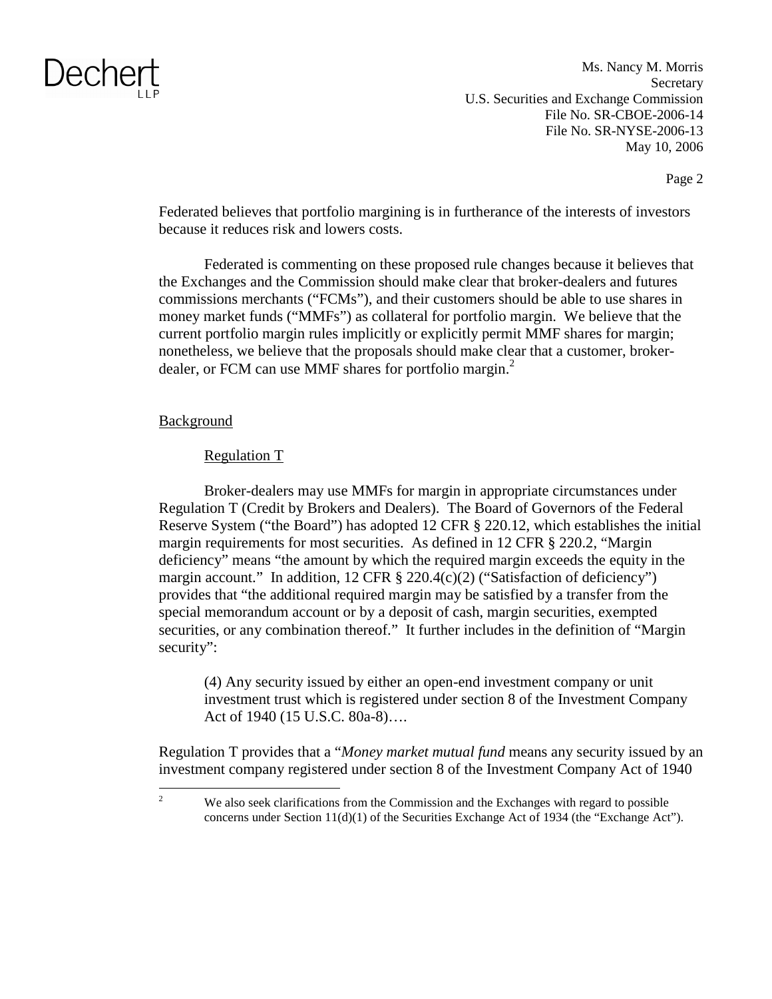Ms. Nancy M. Morris **Secretary** U.S. Securities and Exchange Commission File No. SR-CBOE-2006-14 File No. SR-NYSE-2006-13 May 10, 2006

Page 2

Federated believes that portfolio margining is in furtherance of the interests of investors because it reduces risk and lowers costs.

Federated is commenting on these proposed rule changes because it believes that the Exchanges and the Commission should make clear that broker-dealers and futures commissions merchants ("FCMs"), and their customers should be able to use shares in money market funds ("MMFs") as collateral for portfolio margin. We believe that the current portfolio margin rules implicitly or explicitly permit MMF shares for margin; nonetheless, we believe that the proposals should make clear that a customer, brokerdealer, or FCM can use MMF shares for portfolio margin.<sup>2</sup>

#### Background

#### Regulation T

Broker-dealers may use MMFs for margin in appropriate circumstances under Regulation T (Credit by Brokers and Dealers). The Board of Governors of the Federal Reserve System ("the Board") has adopted 12 CFR § 220.12, which establishes the initial margin requirements for most securities. As defined in 12 CFR § 220.2, "Margin deficiency" means "the amount by which the required margin exceeds the equity in the margin account." In addition,  $12 \text{ CFR } \frac{8}{9}$  220.4(c)(2) ("Satisfaction of deficiency") provides that "the additional required margin may be satisfied by a transfer from the special memorandum account or by a deposit of cash, margin securities, exempted securities, or any combination thereof." It further includes in the definition of "Margin security":

(4) Any security issued by either an open-end investment company or unit investment trust which is registered under section 8 of the Investment Company Act of 1940 (15 U.S.C. 80a-8)….

Regulation T provides that a "*Money market mutual fund* means any security issued by an investment company registered under section 8 of the Investment Company Act of 1940

<sup>2</sup> We also seek clarifications from the Commission and the Exchanges with regard to possible concerns under Section 11(d)(1) of the Securities Exchange Act of 1934 (the "Exchange Act").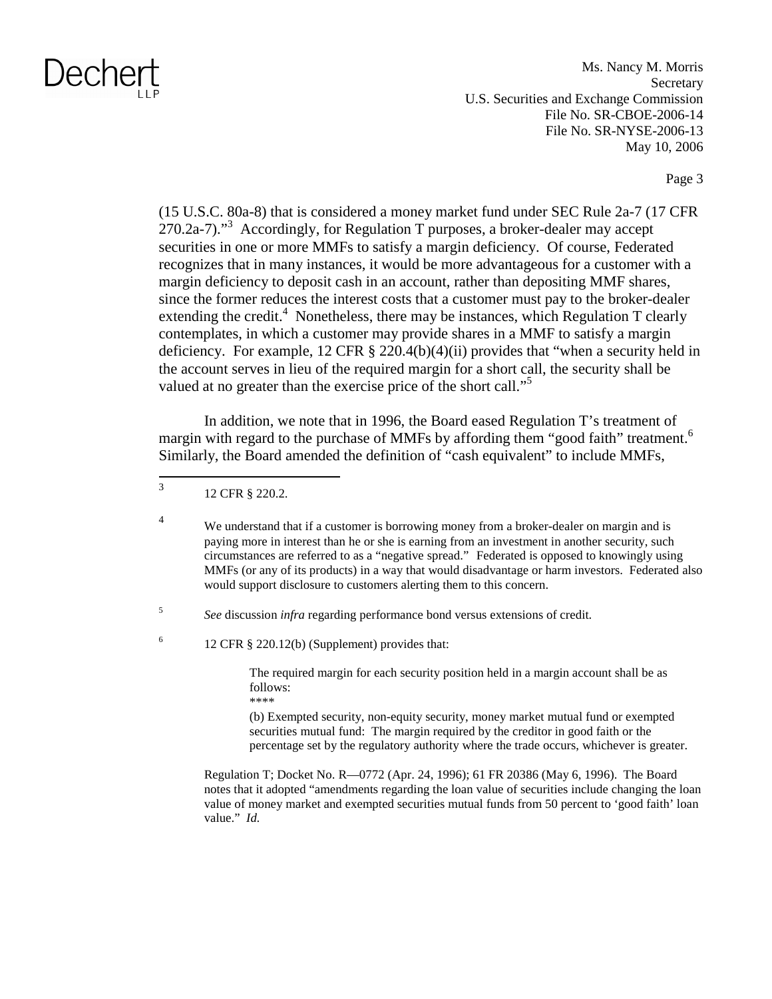Ms. Nancy M. Morris **Secretary** U.S. Securities and Exchange Commission File No. SR-CBOE-2006-14 File No. SR-NYSE-2006-13 May 10, 2006

Page 3

(15 U.S.C. 80a-8) that is considered a money market fund under SEC Rule 2a-7 (17 CFR  $270.2a-7$ ."<sup>3</sup> Accordingly, for Regulation T purposes, a broker-dealer may accept securities in one or more MMFs to satisfy a margin deficiency. Of course, Federated recognizes that in many instances, it would be more advantageous for a customer with a margin deficiency to deposit cash in an account, rather than depositing MMF shares, since the former reduces the interest costs that a customer must pay to the broker-dealer extending the credit.<sup>4</sup> Nonetheless, there may be instances, which Regulation T clearly contemplates, in which a customer may provide shares in a MMF to satisfy a margin deficiency. For example, 12 CFR § 220.4(b)(4)(ii) provides that "when a security held in the account serves in lieu of the required margin for a short call, the security shall be valued at no greater than the exercise price of the short call."<sup>5</sup>

In addition, we note that in 1996, the Board eased Regulation T's treatment of margin with regard to the purchase of MMFs by affording them "good faith" treatment.<sup>6</sup> Similarly, the Board amended the definition of "cash equivalent" to include MMFs,

<sup>4</sup> We understand that if a customer is borrowing money from a broker-dealer on margin and is paying more in interest than he or she is earning from an investment in another security, such circumstances are referred to as a "negative spread." Federated is opposed to knowingly using MMFs (or any of its products) in a way that would disadvantage or harm investors. Federated also would support disclosure to customers alerting them to this concern.

<sup>5</sup>*See* discussion *infra* regarding performance bond versus extensions of credit.

 $^{6}$  12 CFR § 220.12(b) (Supplement) provides that:

The required margin for each security position held in a margin account shall be as follows: \*\*\*\*

(b) Exempted security, non-equity security, money market mutual fund or exempted securities mutual fund: The margin required by the creditor in good faith or the percentage set by the regulatory authority where the trade occurs, whichever is greater.

Regulation T; Docket No. R—0772 (Apr. 24, 1996); 61 FR 20386 (May 6, 1996). The Board notes that it adopted "amendments regarding the loan value of securities include changing the loan value of money market and exempted securities mutual funds from 50 percent to 'good faith' loan value." *Id.* 

<sup>3 12</sup> CFR § 220.2.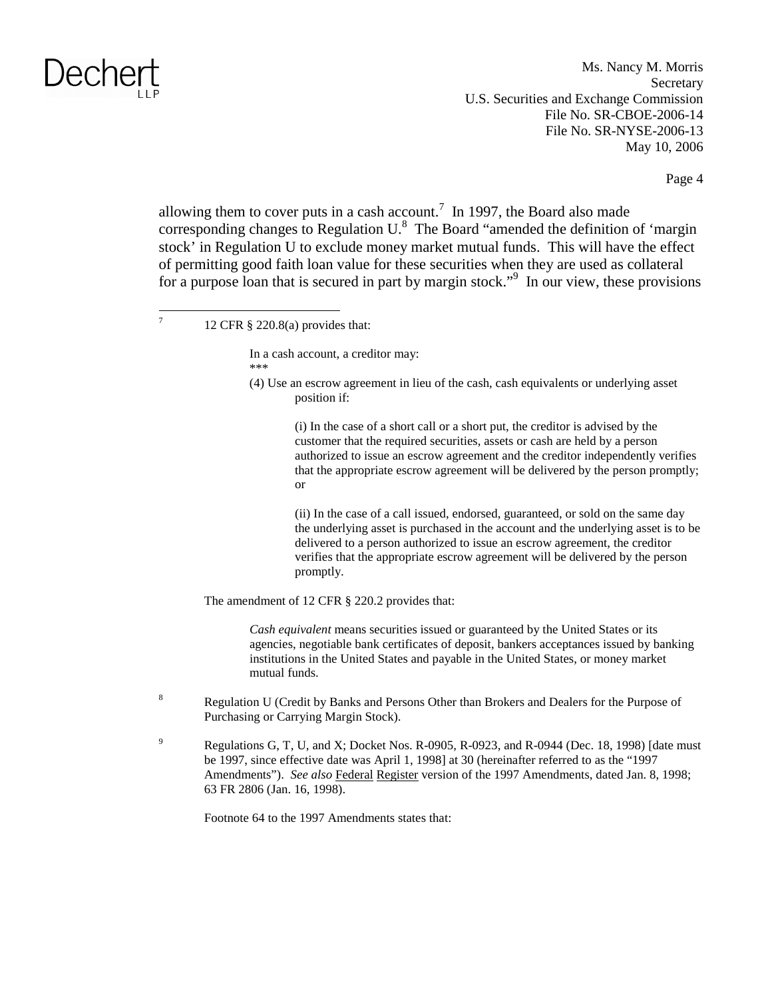Ms. Nancy M. Morris **Secretary** U.S. Securities and Exchange Commission File No. SR-CBOE-2006-14 File No. SR-NYSE-2006-13 May 10, 2006

Page 4

allowing them to cover puts in a cash account.<sup>7</sup> In 1997, the Board also made corresponding changes to Regulation  $U^8$ . The Board "amended the definition of 'margin stock' in Regulation U to exclude money market mutual funds. This will have the effect of permitting good faith loan value for these securities when they are used as collateral for a purpose loan that is secured in part by margin stock."<sup>9</sup> In our view, these provisions

In a cash account, a creditor may: \*\*\*

(4) Use an escrow agreement in lieu of the cash, cash equivalents or underlying asset position if:

> (i) In the case of a short call or a short put, the creditor is advised by the customer that the required securities, assets or cash are held by a person authorized to issue an escrow agreement and the creditor independently verifies that the appropriate escrow agreement will be delivered by the person promptly; or

> (ii) In the case of a call issued, endorsed, guaranteed, or sold on the same day the underlying asset is purchased in the account and the underlying asset is to be delivered to a person authorized to issue an escrow agreement, the creditor verifies that the appropriate escrow agreement will be delivered by the person promptly.

The amendment of 12 CFR § 220.2 provides that:

*Cash equivalent* means securities issued or guaranteed by the United States or its agencies, negotiable bank certificates of deposit, bankers acceptances issued by banking institutions in the United States and payable in the United States, or money market mutual funds.

- <sup>8</sup> Regulation U (Credit by Banks and Persons Other than Brokers and Dealers for the Purpose of Purchasing or Carrying Margin Stock).
- <sup>9</sup> Regulations G, T, U, and X; Docket Nos. R-0905, R-0923, and R-0944 (Dec. 18, 1998) [date must be 1997, since effective date was April 1, 1998] at 30 (hereinafter referred to as the "1997 Amendments"). *See also* Federal Register version of the 1997 Amendments, dated Jan. 8, 1998; 63 FR 2806 (Jan. 16, 1998).

Footnote 64 to the 1997 Amendments states that:

<sup>&</sup>lt;sup>7</sup> 12 CFR § 220.8(a) provides that: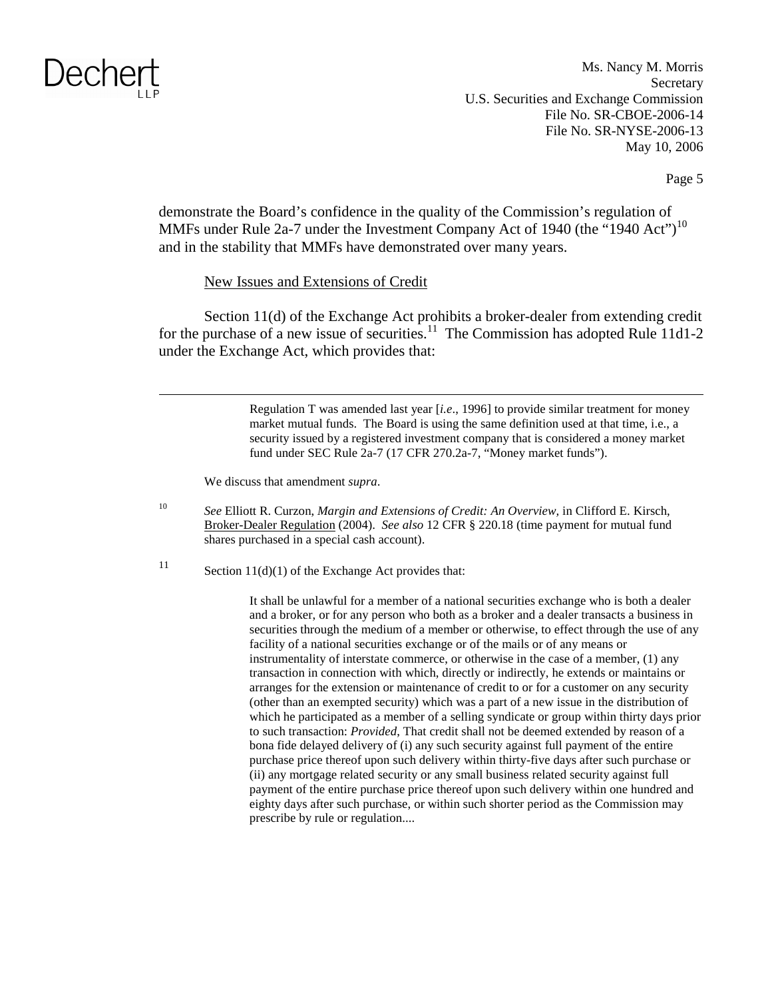Ms. Nancy M. Morris **Secretary** U.S. Securities and Exchange Commission File No. SR-CBOE-2006-14 File No. SR-NYSE-2006-13 May 10, 2006

Page 5

demonstrate the Board's confidence in the quality of the Commission's regulation of MMFs under Rule 2a-7 under the Investment Company Act of 1940 (the "1940 Act")<sup>10</sup> and in the stability that MMFs have demonstrated over many years.

#### New Issues and Extensions of Credit

Section 11(d) of the Exchange Act prohibits a broker-dealer from extending credit for the purchase of a new issue of securities.<sup>11</sup> The Commission has adopted Rule 11d1-2 under the Exchange Act, which provides that:

> Regulation T was amended last year [*i.e*., 1996] to provide similar treatment for money market mutual funds. The Board is using the same definition used at that time, i.e., a security issued by a registered investment company that is considered a money market fund under SEC Rule 2a-7 (17 CFR 270.2a-7, "Money market funds").

We discuss that amendment *supra*.

<sup>10</sup>*See* Elliott R. Curzon, *Margin and Extensions of Credit: An Overview,* in Clifford E. Kirsch, Broker-Dealer Regulation (2004). *See also* 12 CFR § 220.18 (time payment for mutual fund shares purchased in a special cash account).

<sup>11</sup> Section 11(d)(1) of the Exchange Act provides that:

It shall be unlawful for a member of a national securities exchange who is both a dealer and a broker, or for any person who both as a broker and a dealer transacts a business in securities through the medium of a member or otherwise, to effect through the use of any facility of a national securities exchange or of the mails or of any means or instrumentality of interstate commerce, or otherwise in the case of a member, (1) any transaction in connection with which, directly or indirectly, he extends or maintains or arranges for the extension or maintenance of credit to or for a customer on any security (other than an exempted security) which was a part of a new issue in the distribution of which he participated as a member of a selling syndicate or group within thirty days prior to such transaction: *Provided*, That credit shall not be deemed extended by reason of a bona fide delayed delivery of (i) any such security against full payment of the entire purchase price thereof upon such delivery within thirty-five days after such purchase or (ii) any mortgage related security or any small business related security against full payment of the entire purchase price thereof upon such delivery within one hundred and eighty days after such purchase, or within such shorter period as the Commission may prescribe by rule or regulation....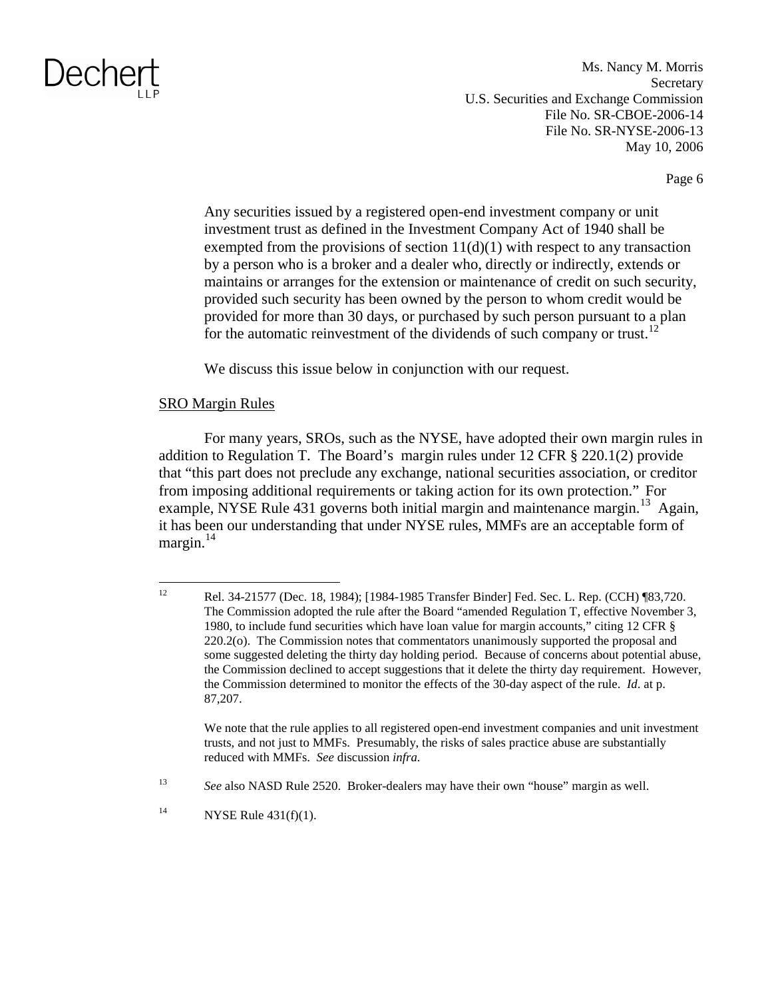Ms. Nancy M. Morris **Secretary** U.S. Securities and Exchange Commission File No. SR-CBOE-2006-14 File No. SR-NYSE-2006-13 May 10, 2006

Page 6

Any securities issued by a registered open-end investment company or unit investment trust as defined in the Investment Company Act of 1940 shall be exempted from the provisions of section  $11(d)(1)$  with respect to any transaction by a person who is a broker and a dealer who, directly or indirectly, extends or maintains or arranges for the extension or maintenance of credit on such security, provided such security has been owned by the person to whom credit would be provided for more than 30 days, or purchased by such person pursuant to a plan for the automatic reinvestment of the dividends of such company or trust.<sup>12</sup>

We discuss this issue below in conjunction with our request.

#### SRO Margin Rules

For many years, SROs, such as the NYSE, have adopted their own margin rules in addition to Regulation T. The Board's margin rules under 12 CFR § 220.1(2) provide that "this part does not preclude any exchange, national securities association, or creditor from imposing additional requirements or taking action for its own protection." For example, NYSE Rule 431 governs both initial margin and maintenance margin.<sup>13</sup> Again, it has been our understanding that under NYSE rules, MMFs are an acceptable form of margin. $^{14}$ 

We note that the rule applies to all registered open-end investment companies and unit investment trusts, and not just to MMFs. Presumably, the risks of sales practice abuse are substantially reduced with MMFs. *See* discussion *infra.* 

<sup>12</sup> Rel. 34-21577 (Dec. 18, 1984); [1984-1985 Transfer Binder] Fed. Sec. L. Rep. (CCH) ¶83,720. The Commission adopted the rule after the Board "amended Regulation T, effective November 3, 1980, to include fund securities which have loan value for margin accounts," citing 12 CFR § 220.2(o). The Commission notes that commentators unanimously supported the proposal and some suggested deleting the thirty day holding period. Because of concerns about potential abuse, the Commission declined to accept suggestions that it delete the thirty day requirement. However, the Commission determined to monitor the effects of the 30-day aspect of the rule. *Id*. at p. 87,207.

<sup>13</sup>*See* also NASD Rule 2520. Broker-dealers may have their own "house" margin as well.

<sup>&</sup>lt;sup>14</sup> NYSE Rule  $431(f)(1)$ .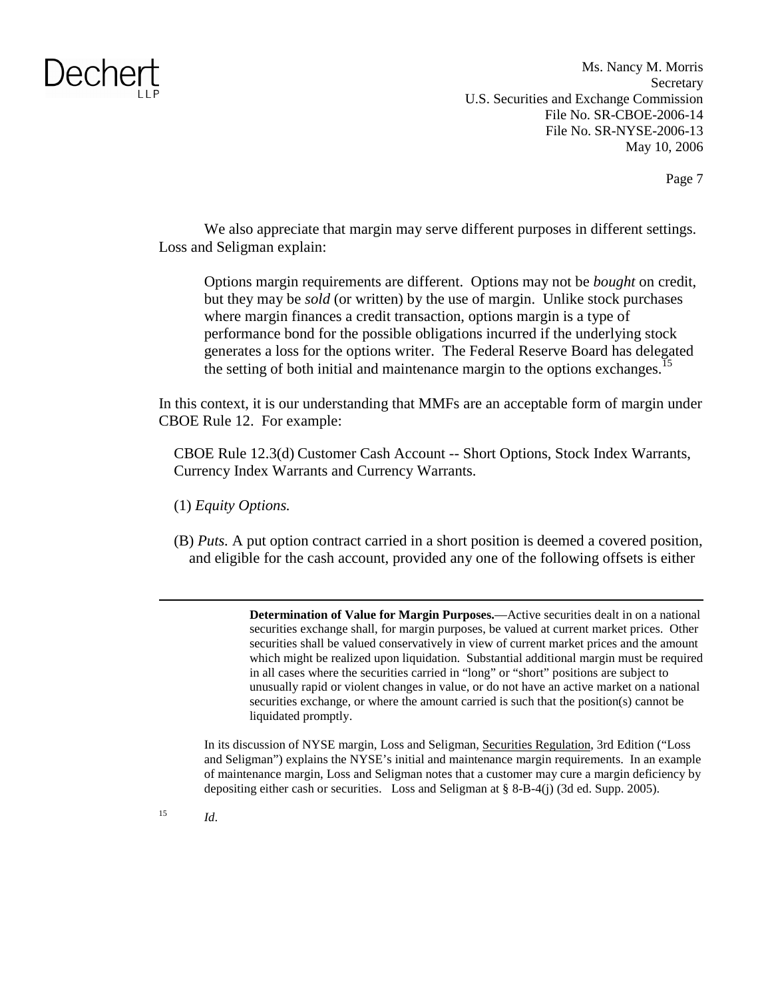Ms. Nancy M. Morris **Secretary** U.S. Securities and Exchange Commission File No. SR-CBOE-2006-14 File No. SR-NYSE-2006-13 May 10, 2006

Page 7

We also appreciate that margin may serve different purposes in different settings. Loss and Seligman explain:

Options margin requirements are different. Options may not be *bought* on credit, but they may be *sold* (or written) by the use of margin. Unlike stock purchases where margin finances a credit transaction, options margin is a type of performance bond for the possible obligations incurred if the underlying stock generates a loss for the options writer. The Federal Reserve Board has delegated the setting of both initial and maintenance margin to the options exchanges.<sup>15</sup>

In this context, it is our understanding that MMFs are an acceptable form of margin under CBOE Rule 12. For example:

CBOE Rule 12.3(d) Customer Cash Account -- Short Options, Stock Index Warrants, Currency Index Warrants and Currency Warrants.

- (1) *Equity Options.*
- (B) *Puts.* A put option contract carried in a short position is deemed a covered position, and eligible for the cash account, provided any one of the following offsets is either

**Determination of Value for Margin Purposes.**—Active securities dealt in on a national securities exchange shall, for margin purposes, be valued at current market prices. Other securities shall be valued conservatively in view of current market prices and the amount which might be realized upon liquidation. Substantial additional margin must be required in all cases where the securities carried in "long" or "short" positions are subject to unusually rapid or violent changes in value, or do not have an active market on a national securities exchange, or where the amount carried is such that the position(s) cannot be liquidated promptly.

In its discussion of NYSE margin, Loss and Seligman, Securities Regulation, 3rd Edition ("Loss and Seligman") explains the NYSE's initial and maintenance margin requirements. In an example of maintenance margin, Loss and Seligman notes that a customer may cure a margin deficiency by depositing either cash or securities. Loss and Seligman at § 8-B-4(j) (3d ed. Supp. 2005).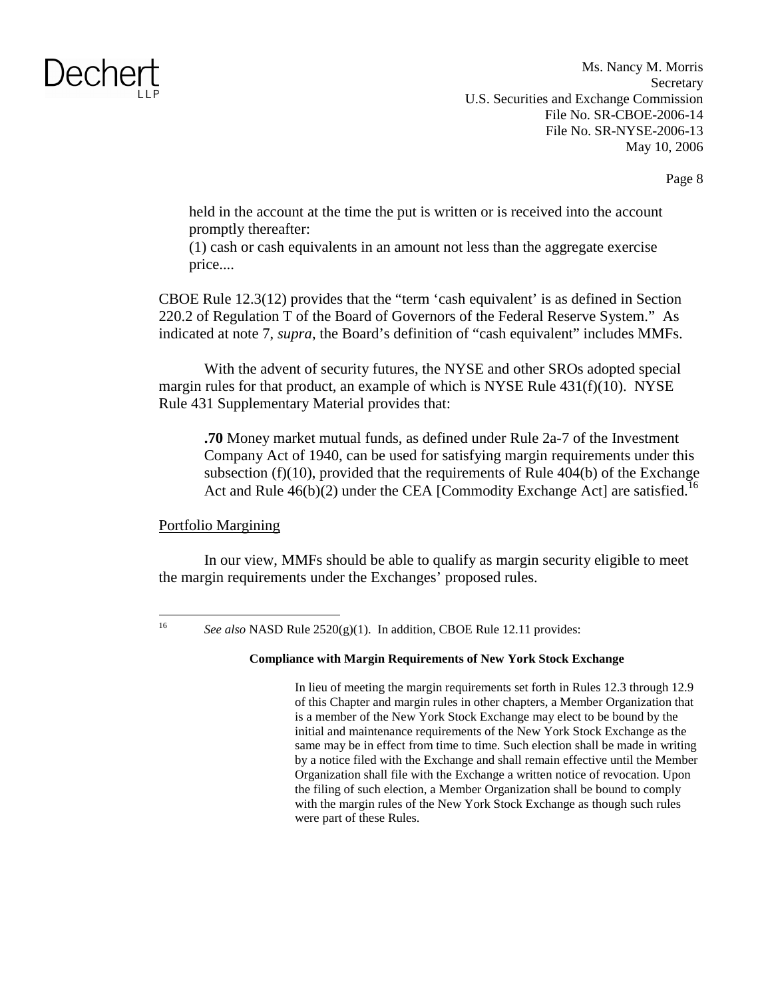Ms. Nancy M. Morris **Secretary** U.S. Securities and Exchange Commission File No. SR-CBOE-2006-14 File No. SR-NYSE-2006-13 May 10, 2006

Page 8

held in the account at the time the put is written or is received into the account promptly thereafter:

(1) cash or cash equivalents in an amount not less than the aggregate exercise price....

CBOE Rule 12.3(12) provides that the "term 'cash equivalent' is as defined in Section 220.2 of Regulation T of the Board of Governors of the Federal Reserve System." As indicated at note 7, *supra*, the Board's definition of "cash equivalent" includes MMFs.

With the advent of security futures, the NYSE and other SROs adopted special margin rules for that product, an example of which is NYSE Rule 431(f)(10). NYSE Rule 431 Supplementary Material provides that:

**.70** Money market mutual funds, as defined under Rule 2a-7 of the Investment Company Act of 1940, can be used for satisfying margin requirements under this subsection (f)(10), provided that the requirements of Rule 404(b) of the Exchange Act and Rule  $46(b)(2)$  under the CEA [Commodity Exchange Act] are satisfied.<sup>16</sup>

#### Portfolio Margining

In our view, MMFs should be able to qualify as margin security eligible to meet the margin requirements under the Exchanges' proposed rules.

#### **Compliance with Margin Requirements of New York Stock Exchange**

In lieu of meeting the margin requirements set forth in Rules 12.3 through 12.9 of this Chapter and margin rules in other chapters, a Member Organization that is a member of the New York Stock Exchange may elect to be bound by the initial and maintenance requirements of the New York Stock Exchange as the same may be in effect from time to time. Such election shall be made in writing by a notice filed with the Exchange and shall remain effective until the Member Organization shall file with the Exchange a written notice of revocation. Upon the filing of such election, a Member Organization shall be bound to comply with the margin rules of the New York Stock Exchange as though such rules were part of these Rules.

<sup>16</sup>*See also* NASD Rule 2520(g)(1). In addition, CBOE Rule 12.11 provides: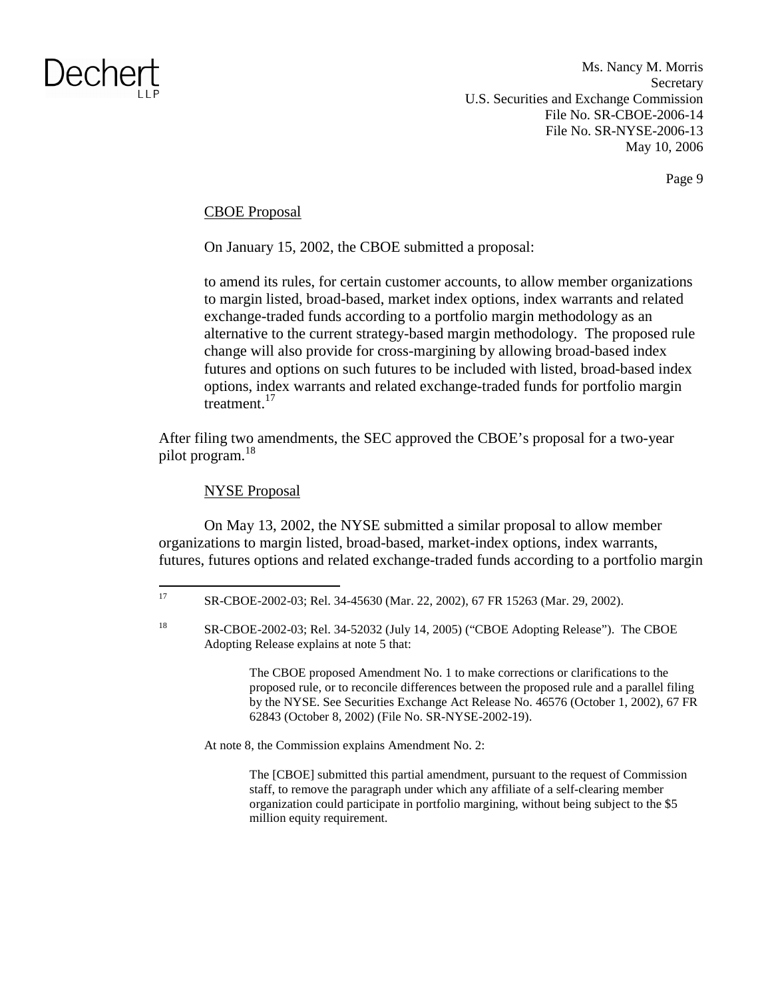Ms. Nancy M. Morris **Secretary** U.S. Securities and Exchange Commission File No. SR-CBOE-2006-14 File No. SR-NYSE-2006-13 May 10, 2006

Page 9

#### CBOE Proposal

On January 15, 2002, the CBOE submitted a proposal:

to amend its rules, for certain customer accounts, to allow member organizations to margin listed, broad-based, market index options, index warrants and related exchange-traded funds according to a portfolio margin methodology as an alternative to the current strategy-based margin methodology. The proposed rule change will also provide for cross-margining by allowing broad-based index futures and options on such futures to be included with listed, broad-based index options, index warrants and related exchange-traded funds for portfolio margin treatment.<sup>17</sup>

After filing two amendments, the SEC approved the CBOE's proposal for a two-year pilot program.<sup>18</sup>

#### NYSE Proposal

On May 13, 2002, the NYSE submitted a similar proposal to allow member organizations to margin listed, broad-based, market-index options, index warrants, futures, futures options and related exchange-traded funds according to a portfolio margin

The CBOE proposed Amendment No. 1 to make corrections or clarifications to the proposed rule, or to reconcile differences between the proposed rule and a parallel filing by the NYSE. See Securities Exchange Act Release No. 46576 (October 1, 2002), 67 FR 62843 (October 8, 2002) (File No. SR-NYSE-2002-19).

At note 8, the Commission explains Amendment No. 2:

The [CBOE] submitted this partial amendment, pursuant to the request of Commission staff, to remove the paragraph under which any affiliate of a self-clearing member organization could participate in portfolio margining, without being subject to the \$5 million equity requirement.

<sup>17</sup> SR-CBOE-2002-03; Rel. 34-45630 (Mar. 22, 2002), 67 FR 15263 (Mar. 29, 2002).

<sup>&</sup>lt;sup>18</sup> SR-CBOE-2002-03; Rel. 34-52032 (July 14, 2005) ("CBOE Adopting Release"). The CBOE Adopting Release explains at note 5 that: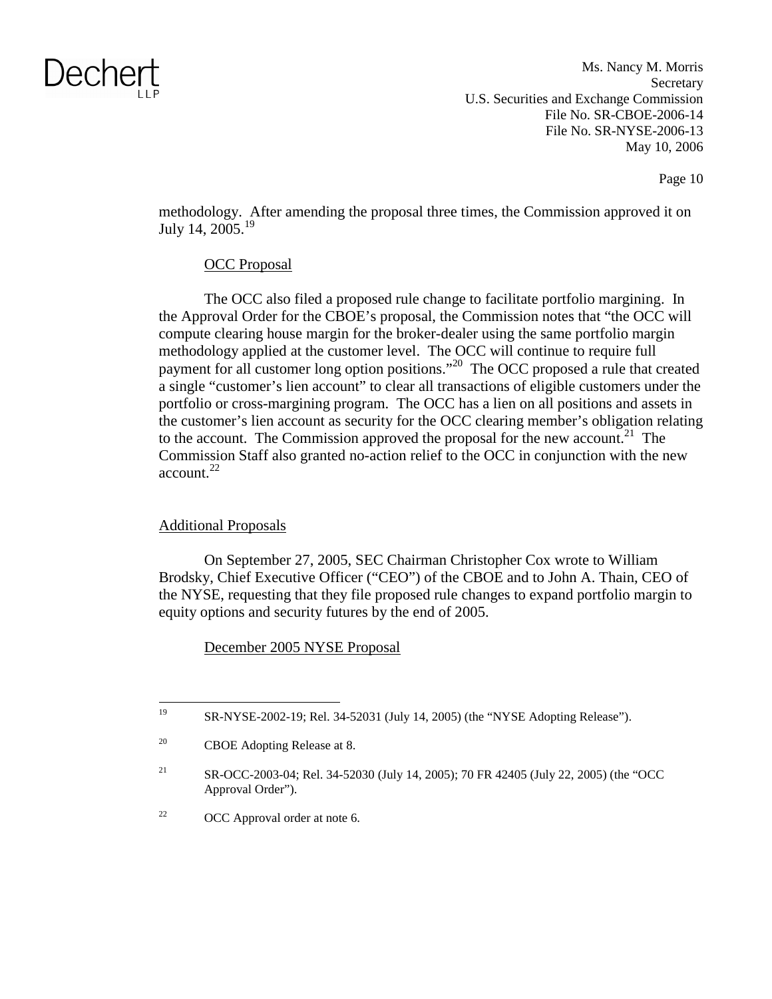Ms. Nancy M. Morris **Secretary** U.S. Securities and Exchange Commission File No. SR-CBOE-2006-14 File No. SR-NYSE-2006-13 May 10, 2006

Page 10

methodology. After amending the proposal three times, the Commission approved it on July 14,  $2005.<sup>19</sup>$ 

### OCC Proposal

The OCC also filed a proposed rule change to facilitate portfolio margining. In the Approval Order for the CBOE's proposal, the Commission notes that "the OCC will compute clearing house margin for the broker-dealer using the same portfolio margin methodology applied at the customer level. The OCC will continue to require full payment for all customer long option positions."<sup>20</sup> The OCC proposed a rule that created a single "customer's lien account" to clear all transactions of eligible customers under the portfolio or cross-margining program. The OCC has a lien on all positions and assets in the customer's lien account as security for the OCC clearing member's obligation relating to the account. The Commission approved the proposal for the new account.<sup>21</sup> The Commission Staff also granted no-action relief to the OCC in conjunction with the new  $account.<sup>22</sup>$ 

### Additional Proposals

On September 27, 2005, SEC Chairman Christopher Cox wrote to William Brodsky, Chief Executive Officer ("CEO") of the CBOE and to John A. Thain, CEO of the NYSE, requesting that they file proposed rule changes to expand portfolio margin to equity options and security futures by the end of 2005.

December 2005 NYSE Proposal

<sup>&</sup>lt;sup>19</sup> SR-NYSE-2002-19; Rel. 34-52031 (July 14, 2005) (the "NYSE Adopting Release").

<sup>20</sup> CBOE Adopting Release at 8.

<sup>21</sup> SR-OCC-2003-04; Rel. 34-52030 (July 14, 2005); 70 FR 42405 (July 22, 2005) (the "OCC Approval Order").

<sup>&</sup>lt;sup>22</sup> OCC Approval order at note 6.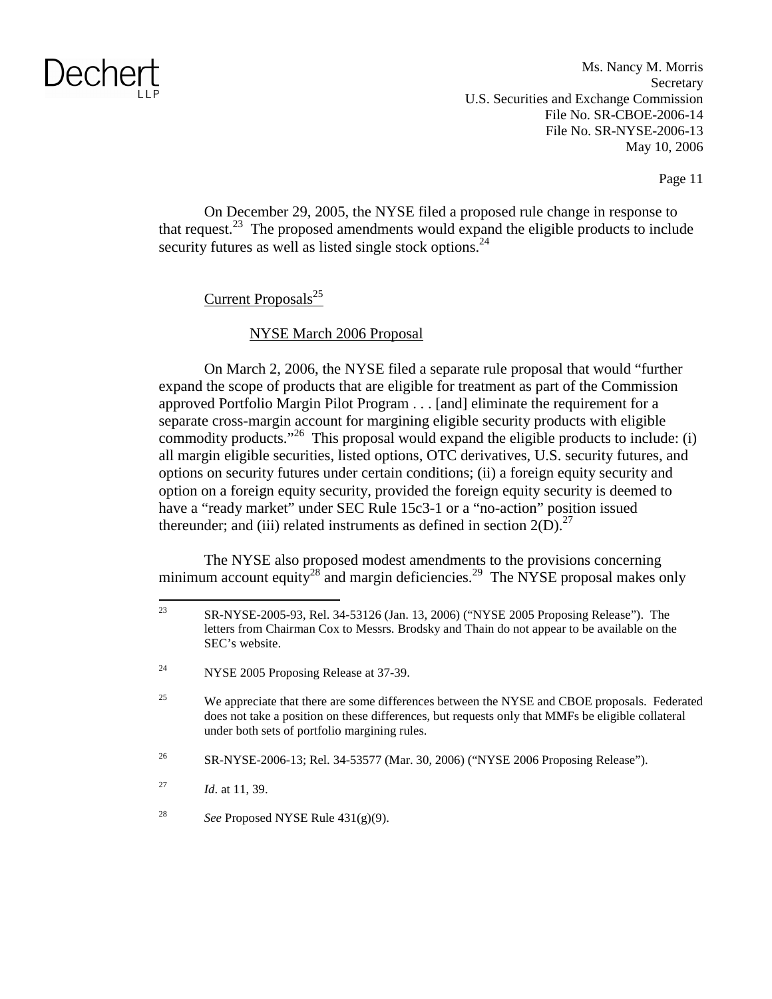Ms. Nancy M. Morris **Secretary** U.S. Securities and Exchange Commission File No. SR-CBOE-2006-14 File No. SR-NYSE-2006-13 May 10, 2006

Page 11

On December 29, 2005, the NYSE filed a proposed rule change in response to that request.<sup>23</sup> The proposed amendments would expand the eligible products to include security futures as well as listed single stock options.<sup>24</sup>

### Current Proposals $^{25}$

### NYSE March 2006 Proposal

On March 2, 2006, the NYSE filed a separate rule proposal that would "further expand the scope of products that are eligible for treatment as part of the Commission approved Portfolio Margin Pilot Program . . . [and] eliminate the requirement for a separate cross-margin account for margining eligible security products with eligible commodity products."<sup>26</sup> This proposal would expand the eligible products to include: (i) all margin eligible securities, listed options, OTC derivatives, U.S. security futures, and options on security futures under certain conditions; (ii) a foreign equity security and option on a foreign equity security, provided the foreign equity security is deemed to have a "ready market" under SEC Rule 15c3-1 or a "no-action" position issued thereunder; and (iii) related instruments as defined in section  $2(D)^{27}$ 

The NYSE also proposed modest amendments to the provisions concerning minimum account equity<sup>28</sup> and margin deficiencies.<sup>29</sup> The NYSE proposal makes only

26 SR-NYSE-2006-13; Rel. 34-53577 (Mar. 30, 2006) ("NYSE 2006 Proposing Release").

<sup>27</sup>*Id*. at 11, 39.

<sup>28</sup>*See* Proposed NYSE Rule 431(g)(9).

<sup>23</sup> SR-NYSE-2005-93, Rel. 34-53126 (Jan. 13, 2006) ("NYSE 2005 Proposing Release"). The letters from Chairman Cox to Messrs. Brodsky and Thain do not appear to be available on the SEC's website.

<sup>&</sup>lt;sup>24</sup> NYSE 2005 Proposing Release at 37-39.

<sup>&</sup>lt;sup>25</sup> We appreciate that there are some differences between the NYSE and CBOE proposals. Federated does not take a position on these differences, but requests only that MMFs be eligible collateral under both sets of portfolio margining rules.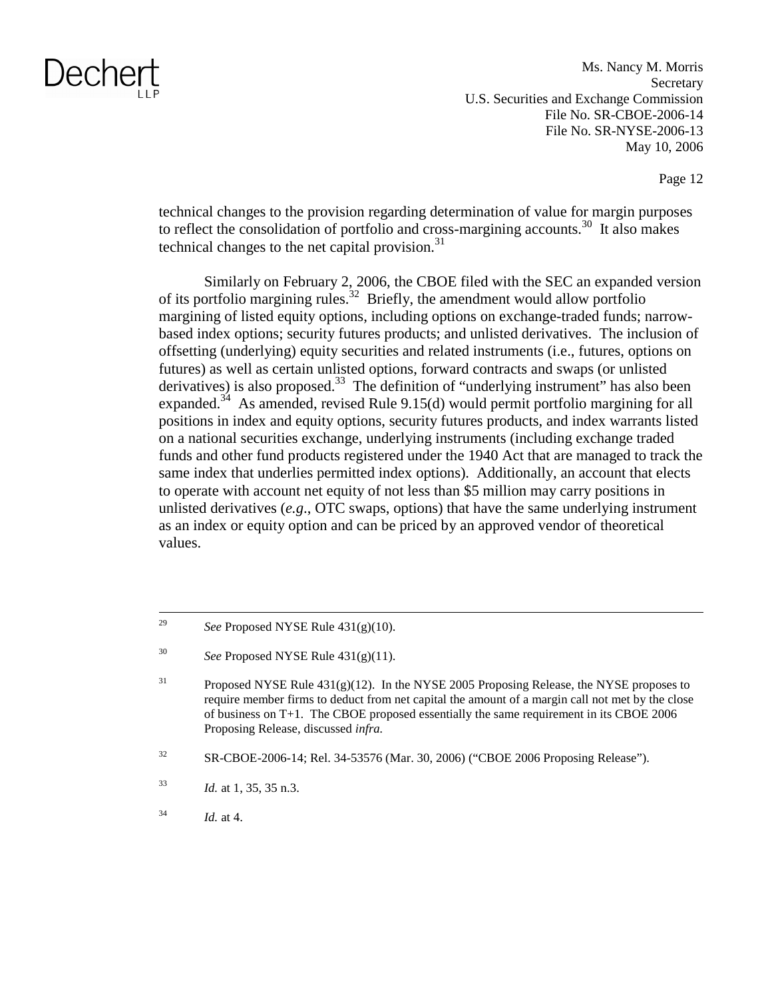Ms. Nancy M. Morris **Secretary** U.S. Securities and Exchange Commission File No. SR-CBOE-2006-14 File No. SR-NYSE-2006-13 May 10, 2006

Page 12

technical changes to the provision regarding determination of value for margin purposes to reflect the consolidation of portfolio and cross-margining accounts.<sup>30</sup> It also makes technical changes to the net capital provision. $31$ 

Similarly on February 2, 2006, the CBOE filed with the SEC an expanded version of its portfolio margining rules.<sup>32</sup> Briefly, the amendment would allow portfolio margining of listed equity options, including options on exchange-traded funds; narrowbased index options; security futures products; and unlisted derivatives. The inclusion of offsetting (underlying) equity securities and related instruments (i.e., futures, options on futures) as well as certain unlisted options, forward contracts and swaps (or unlisted derivatives) is also proposed.<sup>33</sup> The definition of "underlying instrument" has also been expanded.<sup>34</sup> As amended, revised Rule 9.15(d) would permit portfolio margining for all positions in index and equity options, security futures products, and index warrants listed on a national securities exchange, underlying instruments (including exchange traded funds and other fund products registered under the 1940 Act that are managed to track the same index that underlies permitted index options). Additionally, an account that elects to operate with account net equity of not less than \$5 million may carry positions in unlisted derivatives (*e.g*., OTC swaps, options) that have the same underlying instrument as an index or equity option and can be priced by an approved vendor of theoretical values.

<sup>29</sup>*See* Proposed NYSE Rule 431(g)(10).

<sup>30</sup>*See* Proposed NYSE Rule 431(g)(11).

<sup>&</sup>lt;sup>31</sup> Proposed NYSE Rule  $431(g)(12)$ . In the NYSE 2005 Proposing Release, the NYSE proposes to require member firms to deduct from net capital the amount of a margin call not met by the close of business on T+1. The CBOE proposed essentially the same requirement in its CBOE 2006 Proposing Release, discussed *infra.* 

<sup>32</sup> SR-CBOE-2006-14; Rel. 34-53576 (Mar. 30, 2006) ("CBOE 2006 Proposing Release").

<sup>33</sup>*Id.* at 1, 35, 35 n.3.

<sup>34</sup>*Id.* at 4.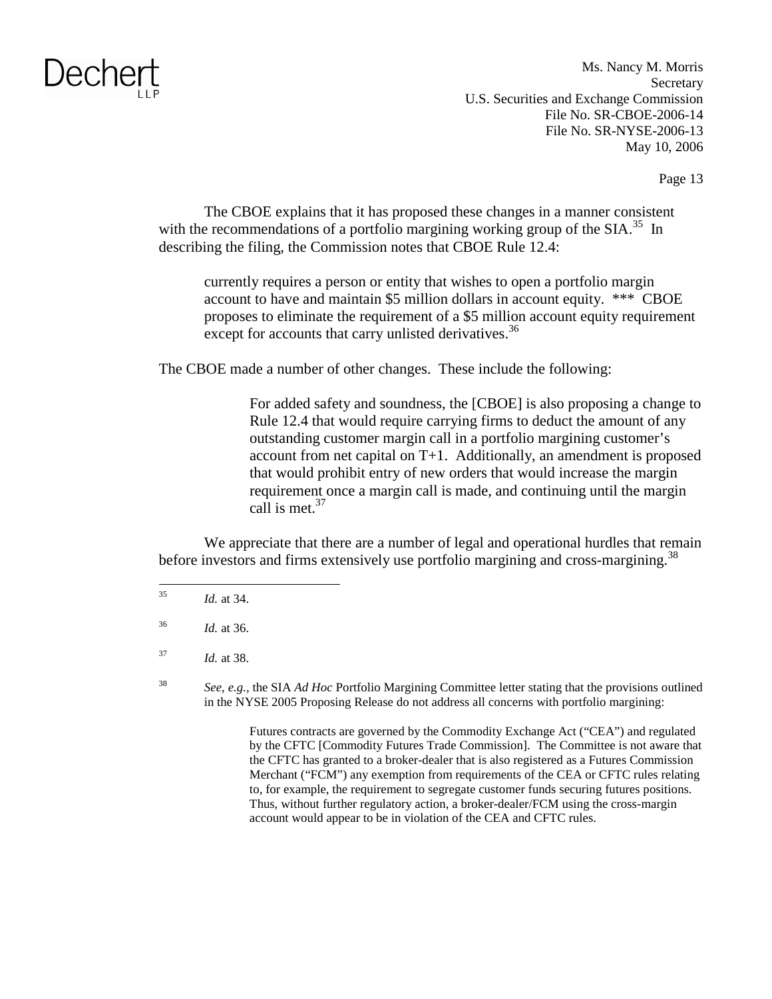Ms. Nancy M. Morris Secretary U.S. Securities and Exchange Commission File No. SR-CBOE-2006-14 File No. SR-NYSE-2006-13 May 10, 2006

Page 13

The CBOE explains that it has proposed these changes in a manner consistent with the recommendations of a portfolio margining working group of the  $SIA.<sup>35</sup>$  In describing the filing, the Commission notes that CBOE Rule 12.4:

currently requires a person or entity that wishes to open a portfolio margin account to have and maintain \$5 million dollars in account equity. \*\*\* CBOE proposes to eliminate the requirement of a \$5 million account equity requirement except for accounts that carry unlisted derivatives.<sup>36</sup>

The CBOE made a number of other changes. These include the following:

For added safety and soundness, the [CBOE] is also proposing a change to Rule 12.4 that would require carrying firms to deduct the amount of any outstanding customer margin call in a portfolio margining customer's account from net capital on T+1. Additionally, an amendment is proposed that would prohibit entry of new orders that would increase the margin requirement once a margin call is made, and continuing until the margin call is met. $37$ 

We appreciate that there are a number of legal and operational hurdles that remain before investors and firms extensively use portfolio margining and cross-margining.<sup>38</sup>

<sup>37</sup>*Id.* at 38.

<sup>38</sup>*See, e.g.,* the SIA *Ad Hoc* Portfolio Margining Committee letter stating that the provisions outlined in the NYSE 2005 Proposing Release do not address all concerns with portfolio margining:

> Futures contracts are governed by the Commodity Exchange Act ("CEA") and regulated by the CFTC [Commodity Futures Trade Commission]. The Committee is not aware that the CFTC has granted to a broker-dealer that is also registered as a Futures Commission Merchant ("FCM") any exemption from requirements of the CEA or CFTC rules relating to, for example, the requirement to segregate customer funds securing futures positions. Thus, without further regulatory action, a broker-dealer/FCM using the cross-margin account would appear to be in violation of the CEA and CFTC rules.

<sup>35</sup>*Id.* at 34.

<sup>36</sup>*Id.* at 36.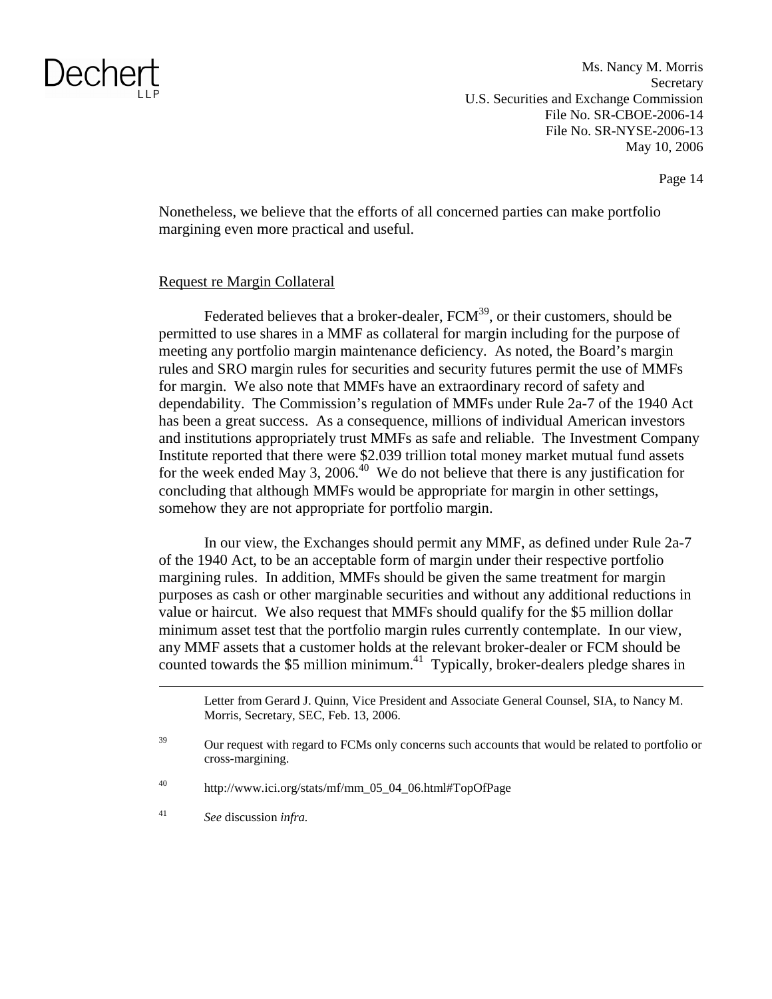Ms. Nancy M. Morris **Secretary** U.S. Securities and Exchange Commission File No. SR-CBOE-2006-14 File No. SR-NYSE-2006-13 May 10, 2006

Page 14

Nonetheless, we believe that the efforts of all concerned parties can make portfolio margining even more practical and useful.

#### Request re Margin Collateral

Federated believes that a broker-dealer,  $FCM<sup>39</sup>$ , or their customers, should be permitted to use shares in a MMF as collateral for margin including for the purpose of meeting any portfolio margin maintenance deficiency. As noted, the Board's margin rules and SRO margin rules for securities and security futures permit the use of MMFs for margin. We also note that MMFs have an extraordinary record of safety and dependability. The Commission's regulation of MMFs under Rule 2a-7 of the 1940 Act has been a great success. As a consequence, millions of individual American investors and institutions appropriately trust MMFs as safe and reliable. The Investment Company Institute reported that there were \$2.039 trillion total money market mutual fund assets for the week ended May 3, 2006.<sup>40</sup> We do not believe that there is any justification for concluding that although MMFs would be appropriate for margin in other settings, somehow they are not appropriate for portfolio margin.

In our view, the Exchanges should permit any MMF, as defined under Rule 2a-7 of the 1940 Act, to be an acceptable form of margin under their respective portfolio margining rules. In addition, MMFs should be given the same treatment for margin purposes as cash or other marginable securities and without any additional reductions in value or haircut. We also request that MMFs should qualify for the \$5 million dollar minimum asset test that the portfolio margin rules currently contemplate. In our view, any MMF assets that a customer holds at the relevant broker-dealer or FCM should be counted towards the \$5 million minimum.<sup>41</sup> Typically, broker-dealers pledge shares in

<sup>41</sup>*See* discussion *infra.* 

Letter from Gerard J. Quinn, Vice President and Associate General Counsel, SIA, to Nancy M. Morris, Secretary, SEC, Feb. 13, 2006.

 $39$  Our request with regard to FCMs only concerns such accounts that would be related to portfolio or cross-margining.

<sup>40</sup> http://www.ici.org/stats/mf/mm\_05\_04\_06.html#TopOfPage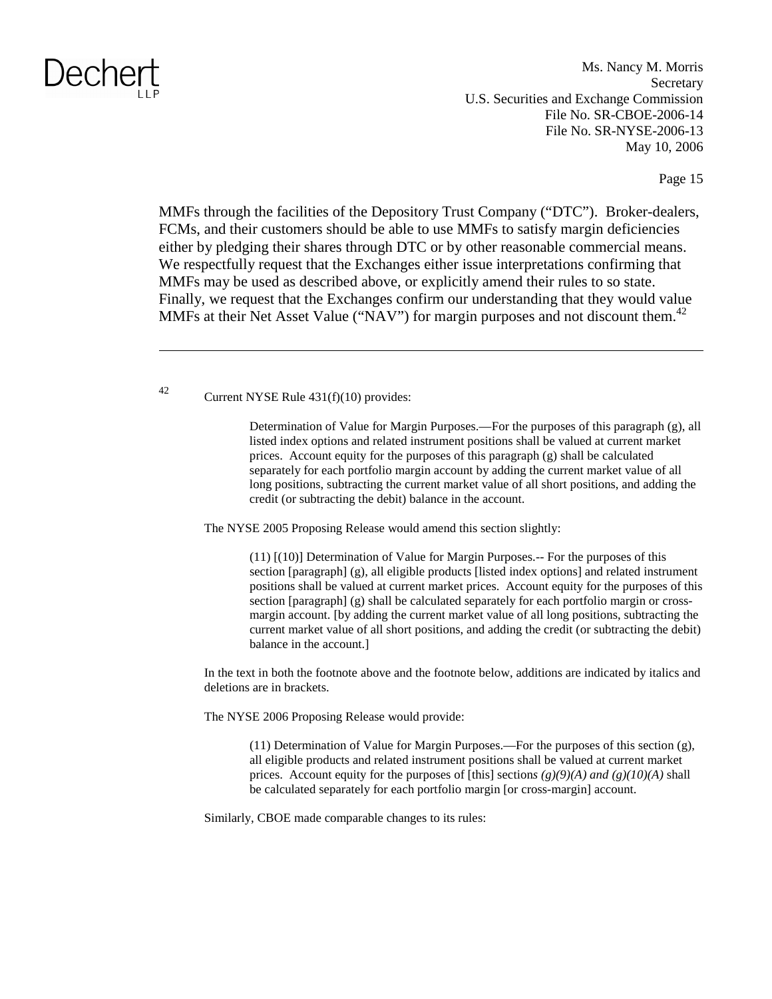Ms. Nancy M. Morris **Secretary** U.S. Securities and Exchange Commission File No. SR-CBOE-2006-14 File No. SR-NYSE-2006-13 May 10, 2006

Page 15

MMFs through the facilities of the Depository Trust Company ("DTC"). Broker-dealers, FCMs, and their customers should be able to use MMFs to satisfy margin deficiencies either by pledging their shares through DTC or by other reasonable commercial means. We respectfully request that the Exchanges either issue interpretations confirming that MMFs may be used as described above, or explicitly amend their rules to so state. Finally, we request that the Exchanges confirm our understanding that they would value MMFs at their Net Asset Value ("NAV") for margin purposes and not discount them.<sup>42</sup>

42 Current NYSE Rule 431(f)(10) provides:

Determination of Value for Margin Purposes.—For the purposes of this paragraph (g), all listed index options and related instrument positions shall be valued at current market prices. Account equity for the purposes of this paragraph (g) shall be calculated separately for each portfolio margin account by adding the current market value of all long positions, subtracting the current market value of all short positions, and adding the credit (or subtracting the debit) balance in the account.

The NYSE 2005 Proposing Release would amend this section slightly:

(11) [(10)] Determination of Value for Margin Purposes.-- For the purposes of this section [paragraph] (g), all eligible products [listed index options] and related instrument positions shall be valued at current market prices. Account equity for the purposes of this section [paragraph] (g) shall be calculated separately for each portfolio margin or crossmargin account. [by adding the current market value of all long positions, subtracting the current market value of all short positions, and adding the credit (or subtracting the debit) balance in the account.]

In the text in both the footnote above and the footnote below, additions are indicated by italics and deletions are in brackets.

The NYSE 2006 Proposing Release would provide:

(11) Determination of Value for Margin Purposes.—For the purposes of this section (g), all eligible products and related instrument positions shall be valued at current market prices. Account equity for the purposes of [this] sections  $(g)(9)(A)$  and  $(g)(10)(A)$  shall be calculated separately for each portfolio margin [or cross-margin] account.

Similarly, CBOE made comparable changes to its rules: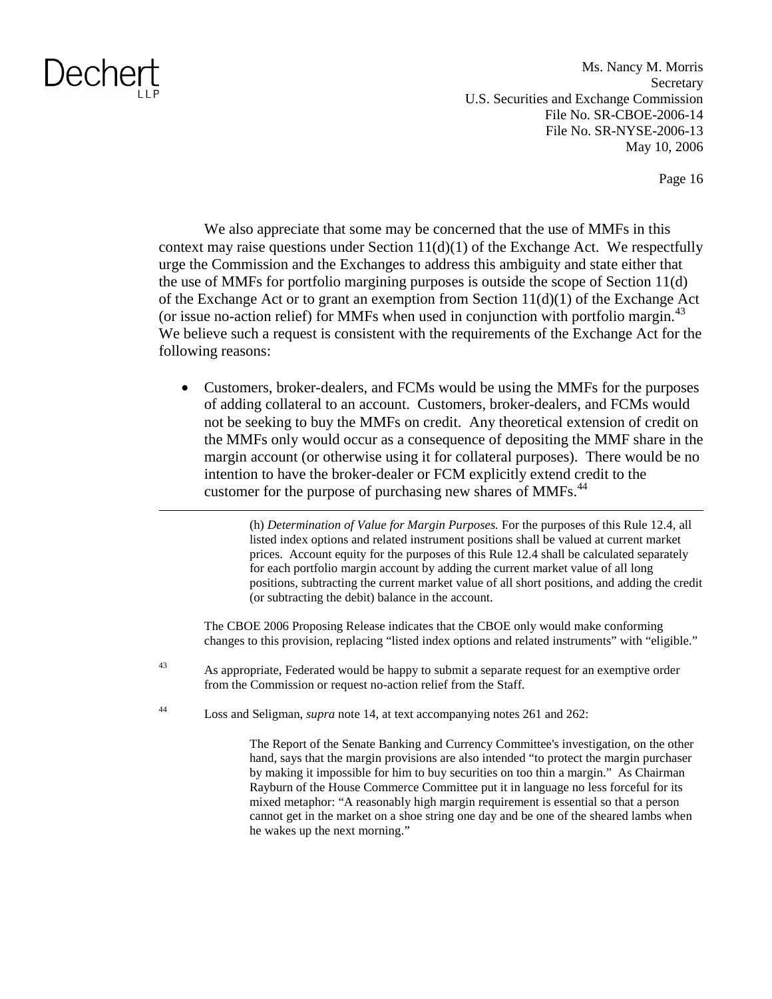Ms. Nancy M. Morris **Secretary** U.S. Securities and Exchange Commission File No. SR-CBOE-2006-14 File No. SR-NYSE-2006-13 May 10, 2006

Page 16

We also appreciate that some may be concerned that the use of MMFs in this context may raise questions under Section  $11(d)(1)$  of the Exchange Act. We respectfully urge the Commission and the Exchanges to address this ambiguity and state either that the use of MMFs for portfolio margining purposes is outside the scope of Section 11(d) of the Exchange Act or to grant an exemption from Section 11(d)(1) of the Exchange Act (or issue no-action relief) for MMFs when used in conjunction with portfolio margin.<sup>43</sup> We believe such a request is consistent with the requirements of the Exchange Act for the following reasons:

• Customers, broker-dealers, and FCMs would be using the MMFs for the purposes of adding collateral to an account. Customers, broker-dealers, and FCMs would not be seeking to buy the MMFs on credit. Any theoretical extension of credit on the MMFs only would occur as a consequence of depositing the MMF share in the margin account (or otherwise using it for collateral purposes). There would be no intention to have the broker-dealer or FCM explicitly extend credit to the customer for the purpose of purchasing new shares of MMFs.<sup>44</sup>

> (h) *Determination of Value for Margin Purposes.* For the purposes of this Rule 12.4, all listed index options and related instrument positions shall be valued at current market prices. Account equity for the purposes of this Rule 12.4 shall be calculated separately for each portfolio margin account by adding the current market value of all long positions, subtracting the current market value of all short positions, and adding the credit (or subtracting the debit) balance in the account.

The CBOE 2006 Proposing Release indicates that the CBOE only would make conforming changes to this provision, replacing "listed index options and related instruments" with "eligible."

- <sup>43</sup> As appropriate, Federated would be happy to submit a separate request for an exemptive order from the Commission or request no-action relief from the Staff.
- 44 Loss and Seligman, *supra* note 14, at text accompanying notes 261 and 262:

The Report of the Senate Banking and Currency Committee's investigation, on the other hand, says that the margin provisions are also intended "to protect the margin purchaser by making it impossible for him to buy securities on too thin a margin." As Chairman Rayburn of the House Commerce Committee put it in language no less forceful for its mixed metaphor: "A reasonably high margin requirement is essential so that a person cannot get in the market on a shoe string one day and be one of the sheared lambs when he wakes up the next morning."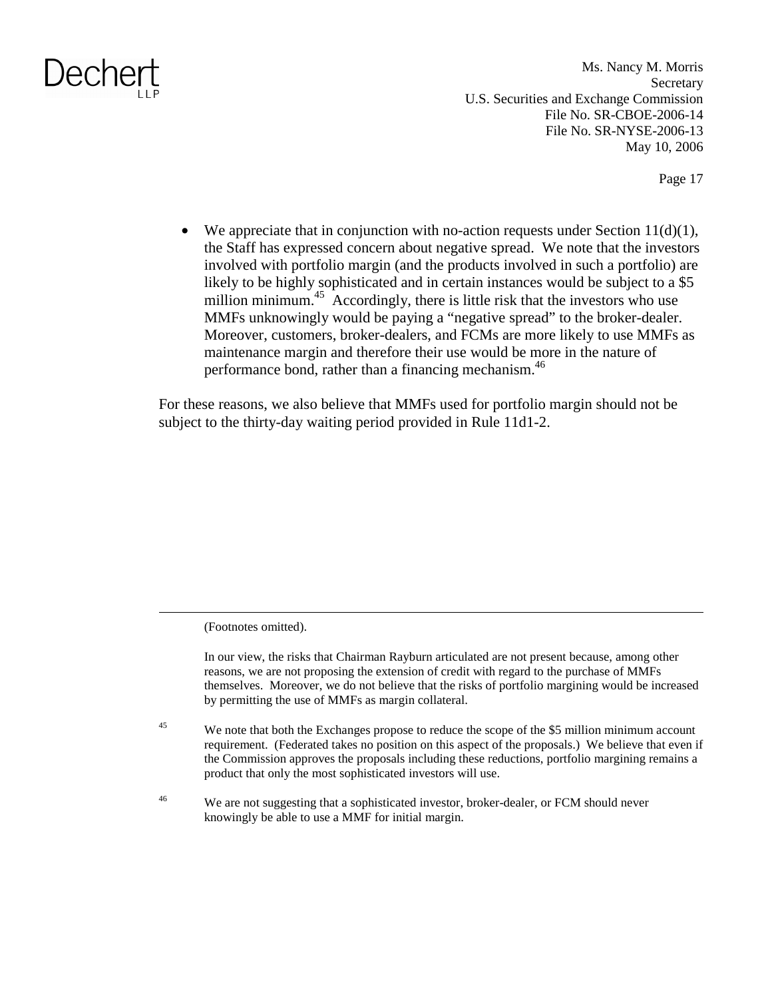Ms. Nancy M. Morris **Secretary** U.S. Securities and Exchange Commission File No. SR-CBOE-2006-14 File No. SR-NYSE-2006-13 May 10, 2006

Page 17

• We appreciate that in conjunction with no-action requests under Section  $11(d)(1)$ , the Staff has expressed concern about negative spread. We note that the investors involved with portfolio margin (and the products involved in such a portfolio) are likely to be highly sophisticated and in certain instances would be subject to a \$5 million minimum.<sup>45</sup> Accordingly, there is little risk that the investors who use MMFs unknowingly would be paying a "negative spread" to the broker-dealer. Moreover, customers, broker-dealers, and FCMs are more likely to use MMFs as maintenance margin and therefore their use would be more in the nature of performance bond, rather than a financing mechanism.<sup>46</sup>

For these reasons, we also believe that MMFs used for portfolio margin should not be subject to the thirty-day waiting period provided in Rule 11d1-2.

(Footnotes omitted).

In our view, the risks that Chairman Rayburn articulated are not present because, among other reasons, we are not proposing the extension of credit with regard to the purchase of MMFs themselves. Moreover, we do not believe that the risks of portfolio margining would be increased by permitting the use of MMFs as margin collateral.

<sup>45</sup> We note that both the Exchanges propose to reduce the scope of the \$5 million minimum account requirement. (Federated takes no position on this aspect of the proposals.) We believe that even if the Commission approves the proposals including these reductions, portfolio margining remains a product that only the most sophisticated investors will use.

<sup>46</sup> We are not suggesting that a sophisticated investor, broker-dealer, or FCM should never knowingly be able to use a MMF for initial margin.